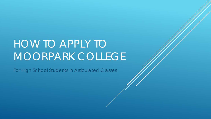# HOW TO APPLY TO MOORPARK COLLEGE

For High School Students in Articulated Classes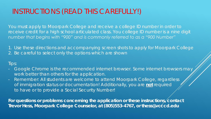## INSTRUCTIONS (READ THIS CAREFULLY!)

*You must apply to Moorpark College and receive a college ID number in order to*  receive credit for a high school articulated class. You college ID number is a nine digit *number that begins with "900" and is commonly referred to as a "900 Number"*

1. Use these directions and accompanying screen shots to apply for Moorpark College 2. Be careful to select *only* the options which are shown

### Tips:

- Google Chrome is the recommended internet browser. Some internet browsers may work better than others for the application.
- Remember: All students are welcome to attend Moorpark College, regardless of immigration status or documentation! Additionally, you are **not** required to have or to provide a Social Security Number!

**For questions or problems concerning the application or these instructions, contact**  Trevor Hess, Moorpark College Counselor, at (805)553-4767, or thess@vcccd.edu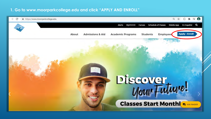#### **1. Go to www.moorparkcollege.edu and click "APPLY AND ENROLL"**

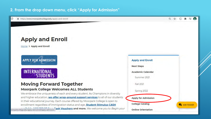### 2. From the drop down menu, click "Apply for Admission"

https://www.moorparkcollege.edu/apply-and-enroll

Q ☆ Ξſ

## **Apply and Enroll**

Home > Apply and Enroll

**APPLY FOR ADMISSION** 

INTERNATIONAL **STUDENTS** 

### **Moving Forward Together Moorpark College Welcomes ALL Students**

We embrace the uniqueness of each and every student. As Champions in diversity and higher education, we offer wrap-around support services to all of our students in their educational journey. Each course offered by Moorpark College is open to enrollment regardless of immigration status and age. **Student Stimulus CASH** 

moorparkcollege.edu/apply-and-enroll/apply-admission ash Vouchers and more. We welcome you to Begin your

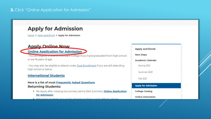#### 3. Click "Online Application for Admission"

## **Apply for Admission**

Home > Apply and Enroll > Apply for Admission

#### **Apply Online Now**

**Online Application for Admission** 

· You are engible to attend moorpark College if you have graduated from high school or are 18 years of age.

· You may also be eligible to attend under Dual Enrollment if you are still attending high school or below.

#### **International Students**

#### **Here is a list of most Frequently Asked Questions Returning Students:**

- Re-Apply after missing two primary terms (Not Summer): Online Application for Admission
- students may make changes to their e-mail addre

#### **Apply and Enroll**

**Next Steps** 

**Academic Calendar** 

Spring 2021

Summer 2021

Fall 2021

#### **Apply for Admission**

**College Catalog** 

**Online Orientation**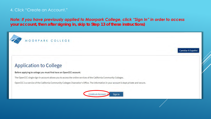## 4. Click "Create an Account."

## *Note: If you have previously applied to Moorpark College, click "Sign In" in order to access*

*your account, then after signing in, skip to Step 13 of these instructions)*

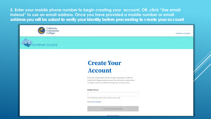5. Enter your mobile phone number to begin creating your account, OR, click "Use email instead" to use an email address. Once you have provided a mobile number or email address you will be asked to verify your identity before proceeding to create your account



ORPARK COLLEGE



## **Create Your Account**

Enter your mobile phone number to begin creating your California Community Colleges student account. You will receive a code via text message to verify your identity and keep your account secure.

#### **Mobile Phone**

For international numbers insert + before country code

#### Use email instead

**Text My Verification Code** 

Back to Sign In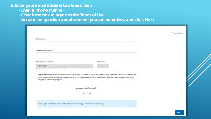**6. Enter your email address two times, then**

- **- Enter a phone number**
- **- Check the box to agree to the Terms of Use**
- **- Answer the question about whether you are homeless, and click Next**

| <b>Confirm Email Address</b>                           |                                                                                                                                                                                                                                                                                   |  |
|--------------------------------------------------------|-----------------------------------------------------------------------------------------------------------------------------------------------------------------------------------------------------------------------------------------------------------------------------------|--|
| <b>Primary Phone Number</b>                            | <b>Phone Type</b>                                                                                                                                                                                                                                                                 |  |
| 6054500693                                             | Motille.                                                                                                                                                                                                                                                                          |  |
| For international numbers insert- furlero country code |                                                                                                                                                                                                                                                                                   |  |
|                                                        |                                                                                                                                                                                                                                                                                   |  |
| designated schools and programs.                       | I agree to the Terms of Use and to receive calls and/or texts and emails at any phone number and/or email I have provided or may provide<br>in the future, including any wireless number, from any entity associated with my application process, including but not limited to my |  |
|                                                        | Are you currently homeless?"                                                                                                                                                                                                                                                      |  |
|                                                        | ⊙ Yes ⊙ No                                                                                                                                                                                                                                                                        |  |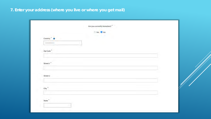## **7. Enter your address (where you live or where you get mail)**

| Country <sup>®</sup> <b>@</b> | <b>COLL</b><br>$\mathcal{X}$ of |  |
|-------------------------------|---------------------------------|--|
| United States                 |                                 |  |
| Zip Code <sup>*</sup>         |                                 |  |
|                               |                                 |  |
| Street 1 $^\ast$              |                                 |  |
|                               |                                 |  |
| Street 2                      |                                 |  |
|                               |                                 |  |
| City <sup>*</sup>             |                                 |  |
|                               |                                 |  |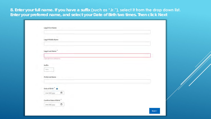**8. Enter your full name. If you have a suffix (such as "Jr."), select it from the drop down list. Enter your preferred name, and select your Date of Birth two times. Then click Next**

| <b>Legal Middle Name</b>                     |  |
|----------------------------------------------|--|
|                                              |  |
| Legal Last Name <sup>*</sup>                 |  |
| Less Last Name of Required<br><b>COMPANY</b> |  |
| an inte<br>Suffix<br>Home                    |  |
| <b>Preferred Name</b>                        |  |
|                                              |  |
| Date of Birth                                |  |
| $\Box$<br>mm/dd/yyyy                         |  |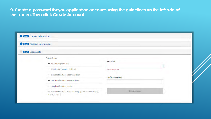**9. Create a password for you application account, using the guidelines on the left side of the screen. Then click Create Account**

| Step 2 Personal Information |                                                                                                               |                         |  |
|-----------------------------|---------------------------------------------------------------------------------------------------------------|-------------------------|--|
| Step 3 Credentials          |                                                                                                               |                         |  |
|                             | Password must:                                                                                                |                         |  |
|                             | - not contain your name                                                                                       | Password                |  |
|                             | - be at least 8 characters in length                                                                          | Password required.      |  |
|                             | - contain at least one uppercase letter                                                                       | <b>Confirm Password</b> |  |
|                             | - contain at least one lowercase letter                                                                       |                         |  |
|                             | - contain at least one number                                                                                 |                         |  |
|                             | - contain at least one of the following special characters $(l, \varpi)$ ,<br>#, S, %, $\land$ , & or $\land$ | <b>Ereate Account</b>   |  |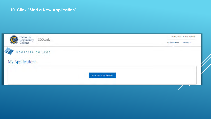## **10. Click "Start a New Application"**

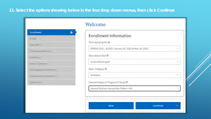| Protite                      |  |
|------------------------------|--|
| Education                    |  |
| Citizenship/Military         |  |
| Residency                    |  |
| <b>Needs &amp; Interests</b> |  |
| Demographic Information      |  |
| Supplemental Questions       |  |
| Submitsion                   |  |

| <b>Enrollment Information</b>                           |  |
|---------------------------------------------------------|--|
| Term Applying For ®                                     |  |
| SPRING 2022 - 202203 (January 10, 2022 to May 18, 2022) |  |
| Educational Goal ®                                      |  |
| Undecided on goal.                                      |  |
| Major Category @                                        |  |
| All Majors                                              |  |
| Intended Major or Program of Study ®                    |  |
| General Studies: Humanities Pattern I-AA                |  |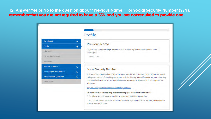**12. Answer Yes or No to the question about "Previous Name." For Social Security Number (SSN), remember that you are not required to have a SSN and you are not required to provide one.**

|                                |           | Profile                                                                                                                                                                                           |  |  |
|--------------------------------|-----------|---------------------------------------------------------------------------------------------------------------------------------------------------------------------------------------------------|--|--|
| <b>Enrollment</b>              | v         |                                                                                                                                                                                                   |  |  |
| Profile                        | $\bullet$ | <b>Previous Name</b>                                                                                                                                                                              |  |  |
| Education                      |           | Do you have a previous legal name that was used on legal documents or education<br>transcripts?                                                                                                   |  |  |
| Cisteenship/Military.          |           | O Yes O No                                                                                                                                                                                        |  |  |
| Residency                      |           |                                                                                                                                                                                                   |  |  |
| <b>Needs &amp; Interests</b>   | Ō         |                                                                                                                                                                                                   |  |  |
| <b>Demographic Information</b> | $\circ$   | <b>Social Security Number</b>                                                                                                                                                                     |  |  |
| <b>Supplemental Questions</b>  | $\circ$   | The Social Security Number (SSN) or Taxpayer Identification Number (TIN/iTIN) is used by the<br>college as a means of matching student records, facilitating federal financial aid, and reporting |  |  |
| Submission                     |           | tax-related information to the Internal Revenue System (IRS). However, it is not required for<br>admission.                                                                                       |  |  |
|                                |           | Why am I being asked for my social security number?                                                                                                                                               |  |  |

O No, I do not have a social security number or taxpayer identification number, or I decline to provide one at this time.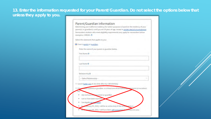## **13. Enter the information requested for your Parent/Guardian. Do not select the options below that unless they apply to you.**

|     | Parent/Guardian Information<br>Determining your California residency for tuition purposes is based on the residency of your |
|-----|-----------------------------------------------------------------------------------------------------------------------------|
|     | parent(s) or guardian(s) until you are 19 years of age, except in certain special circumstances.                            |
|     | Nonresident students who meet eligibility requirements may apply for nonresident tuition<br>exemption (AB540). @            |
|     | Select the statement that applies to you:                                                                                   |
|     | Il have a parent or guardian.                                                                                               |
|     | Enter the name of your parent or guardian below.                                                                            |
|     | First Name (2)                                                                                                              |
|     |                                                                                                                             |
|     | Last Name (2)                                                                                                               |
|     |                                                                                                                             |
|     | Relationship ®                                                                                                              |
|     | - Select Relationship-                                                                                                      |
|     | O I was in foster care at any time after my 13th birthday.                                                                  |
|     | O ( do not have a parent or guardian, or at least one of the following systements is true about                             |
| me: | I do not have a wise parent or guardian.                                                                                    |
|     | I am or have been married.                                                                                                  |
|     | I am legally emana pated                                                                                                    |
|     | As you can uary 09, 2022, I will be on active duty in the arms is envices                                                   |
|     | As we languary 09, 2022, I will have been self-supporting for a reast one year.                                             |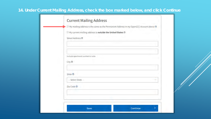## **14. Under Current Mailing Address, check the box marked below, and click Continue**

| Include apartment number or suite<br>City <sup>®</sup><br>State ® |                  |  |
|-------------------------------------------------------------------|------------------|--|
|                                                                   |                  |  |
|                                                                   |                  |  |
|                                                                   |                  |  |
|                                                                   | Street Address ® |  |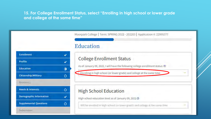#### **15. For College Enrollment Status, select "Enrolling in high school or lower grade and college at the same time"**

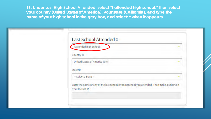**16. Under Last High School Attended, select "I attended high school," then select your country (United States of America), your state (California), and type the name of your high school in the gray box, and select it when it appears.**

| Last School Attended ®                                                                                          |  |
|-----------------------------------------------------------------------------------------------------------------|--|
| I attended high school.                                                                                         |  |
| Country ®                                                                                                       |  |
| United States of America (the)                                                                                  |  |
| State ®                                                                                                         |  |
| - Select a State -                                                                                              |  |
| Enter the name or city of the last school or homeschool you attended. Then make a selection<br>from the list. ® |  |
|                                                                                                                 |  |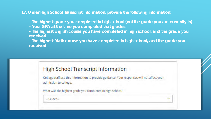**17. Under High School Transcript Information, provide the following information:**

*-* **The highest grade you completed in high school (not the grade you are currently in)**

- *-* **Your GPA at the time you completed that grades**
- *-* **The highest English course you have completed in high school, and the grade you received**

*-* **The highest Math course you have completed in high school, and the grade you received**

## **High School Transcript Information**

College staff use this information to provide guidance. Your responses will not affect your admission to college.

What was the highest grade you completed in high school?

 $-$  Select $-$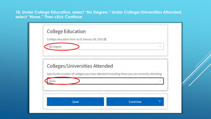**18. Under College Education, select "No Degree." Under College/Universities Attended, select "None." Then click Continue**

|      | <b>Colleges/Universities Attended</b>                                                         |  |  |
|------|-----------------------------------------------------------------------------------------------|--|--|
|      | Specify the number of colleges you have attended including those you are currently attending. |  |  |
| None |                                                                                               |  |  |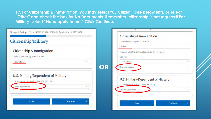**19. For Citizenship & Immigration, you may select "US Citizen" (see below left), or select "Other" and check the box for No Documents. Remember: citizenship is not required! For Military, select "None apply to me." Click Continue.**

|                                               |             | Citizenship & Immigration                                  |                     |
|-----------------------------------------------|-------------|------------------------------------------------------------|---------------------|
| Citizenship/Military                          |             | Citizenship & Immigration Status ®                         |                     |
|                                               |             | Other                                                      |                     |
| Citizenship & Immigration                     |             | If you are not a U.S. citizen, please enter the following: |                     |
| Citizenship & Immigration Status ®            |             | Visa Type                                                  |                     |
| U.S. Citizen                                  | <b>Sold</b> | Select Visa                                                | <b>The Contract</b> |
|                                               | OR          | O No documents                                             |                     |
| U.S. Military/Dependent of Military           |             | U.S. Military/Dependent of Military                        |                     |
| U.S. Military status as of January 09, 2022 @ |             | U.S. Military status as of January 09, 2022 @              |                     |
| None apply to me                              |             | None apply to me                                           |                     |
|                                               |             |                                                            |                     |
| Save<br>Continue                              | ⋗           | Save                                                       | Continue<br>⋗       |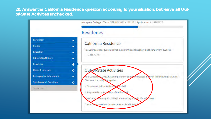#### **20. Answer the California Residence question according to your situation, but leave all Outof-State Activities unchecked.**

|                               |              | Moorpark College   Term: SPRING 2022 - 202203   Application #: 22995377                              |
|-------------------------------|--------------|------------------------------------------------------------------------------------------------------|
|                               |              | Residency                                                                                            |
| <b>Enrollment</b>             | v            |                                                                                                      |
| Profile                       | $\checkmark$ | California Residence                                                                                 |
| Education                     | v            | Has your parent or guardian lived in California continuously since January 09, 2020? ®<br>O Yes O No |
| Citizenship/Military          | v            |                                                                                                      |
| <b>Residency</b>              | $\bullet$    |                                                                                                      |
| <b>Needs &amp; Interests</b>  | $\circ$      | <b>Out-of-State Activities</b>                                                                       |
| Demographic Information       | $\checkmark$ | As of January 19, 2020, has your parent or guard an engaged in any of the following activities?      |
| <b>Supplemental Questions</b> | $\circ$      | Check each activity wat applies.                                                                     |
| Submission                    |              | Taxes were paid outside of Schornia @                                                                |
|                               |              | Registered to vote patside of Californ                                                               |
|                               |              | Declared esidency at a college or university outside of California ®                                 |
|                               |              | □ Filed iosa lawsuit or divorce outside of California                                                |
|                               |              |                                                                                                      |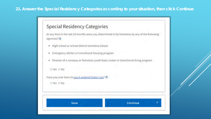#### 21. Answer the Special Residency Categories according to your situation, then click Continue

## **Special Residency Categories**

At any time in the last 24 months were you determined to be homeless by any of the following agencies? @

- · High school or school district homeless liaison
- . Emergency shelter or transitional housing program
- . Director of a runaway or homeless youth basic center or transitional living program



Have you ever been in court-ordered foster care? ®

O Yes O No.

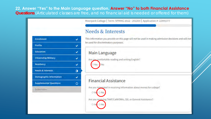22. Answer "Yes" to the Main Language question. Answer "No" to both Financial Assistance Questions (Articulated classes are free, and no financial aid is needed or offered for them)

Moorpark College | Term: SPRING 2022 - 202203 | Application #: 22995377

## **Needs & Interests**

This information you provide on this page will not be used in making admission decisions and will not be used for discriminatory purposes.

#### Main Language

Yes O No

O Yes O No

Are you comfortable reading and writing English?

## **Financial Assistance**

Are you interested in receiving information about money for college? O Yes O No Are you receiving TANF/CalWORKs, SSI, or General Assistance?

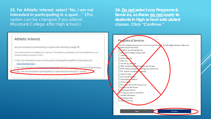**23. For Athletic Interest, select "No, I am not interested in participating in a sport…" (**This option can be changed if you attend Moorpark College *after* high school.)

**24. Do not select any Programs & Services, as these do not apply to students in high school articulated classes. Click "Continue."**

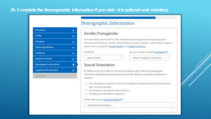### 25. Complete the Demographic Information if you wish- it is optional and voluntary.

| <b>Enrollment</b>              |  |
|--------------------------------|--|
| Profile                        |  |
| <b>Education</b>               |  |
| <b>Citizenship/Military</b>    |  |
| <b>Residency</b>               |  |
| <b>Needs &amp; Interests</b>   |  |
| <b>Demographic Information</b> |  |
| <b>Supplemental Questions</b>  |  |
| Submission                     |  |

## Demographic Information

#### Gender/Transgender

This information will be used for state and federal reporting purposes. It is optional and voluntary and will not be used for a discriminatory purpose."Gender" in this context, means a person's sex, or a person's gender identity and gender expression.

G

Do you consider yourself transgender? @

#### -- Select Gender --

- Select Transgender Response

#### **Sexual Orientation**

By California law, the California Community Colleges collect voluntary demographic information regarding the sexual orientation, gender identity, and gender expression of students.

- . This information is used for summary demographic reporting and will not be used for a discriminatory purpose.
- . Your responses are kept private and secure.
- · Providing this information is optional.

Please indicate your sexual orientation ®

- Select Sexual Orientation -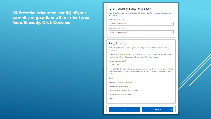26. Enter the education level(s) of your parent(s) or guardian(s) then select your Race/Ethnicity. Click Continue

#### Parent/Guardian Educational Levels

Regardless of your age, please indicate the education levels of the parents and/or guardians who raised you.

#### Parent or Guardian 1 ®

- Select Education Level -

Parent or Guardian 2 ®

- Select Education Level -

#### Race/Ethnicity

Per U.S. Department of Education guidelines, colleges are required to collect this racial and ethnic data.

Check the box below if you identify as Hispanic or Latino. If you indicate that you are Hispanic or Latino, you will have the option to select more specific ancestry groups.

Are you Hispanic or Latino?

O Yes O No

Check all of the ethnicity, nation, and ancestry groups that you identify with. When you select a major ethnicity group, you will have the option to select more specific ancestry groups. Select all that apply.

 $\square$  Asian

□ American Indian or Alaska Native

□ Black or African American

Native Hawaiian or Other Pacific Islander

□ Middle Eastern or North African

 $\square$  White

Save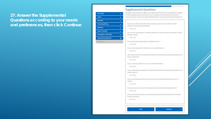### 27. Answer the Supplemental Questions according to your needs and preferences, then click Continue

| Emailment.                      |   |
|---------------------------------|---|
| <b>Profile</b>                  |   |
| Education                       |   |
| Otlassible/Military             |   |
| <b>Retidency</b>                |   |
| <b>Heeds &amp; Interests</b>    |   |
| Demographic information         |   |
| Supplemental Questions          | Æ |
| <b>Company</b><br><b>Limits</b> |   |

#### Supplemental Questions

Moorpark College would like to gutter some additional information on your application to college... The following quantions are cuquined but base incidenting on any administers, impressibilities curricular decisions. Answers are kept confidential and and not involved in the admissions process.

Disposition a physical levitation math as a bitaring, spench, smaal, moduley or funantempelement and/or learning disability?

**CONTRACTOR** 

Responsible first processing of splings childens in your family? Nether journtester or lather Reported and received

**Citing Different** 

Reciproclassicated by participating in Student Activities? **DYm DR** 

Do you road to arrange for child care in order to attend diamen?

**El Ven El No** 

(low you been last off or terminated from your job, and long-term unemployed, and would like **Inducted anothering** 

**TEVes El No** 

Antycula military with tan with a juryice-contected disability?

**CONDRO** 

Ani you intinveted in participating is a program that provides extra support and helps first year. college students?"

**CIVING IVE** 

Ale you corrommed whose how you are going to pay for lood and housing while you written milion?

**El Ven El No** 

Do you have someone in your life that you can discuss polices missed guardians with?

**Circuit No.** 

On you plan on frantismin to a local journal rolling fixe CSU Diserval Blunds or California Lutheran University?

**CITIONS** 

Street

Continue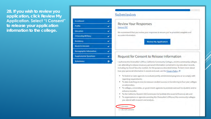28. If you wish to review you application, click Review My **Application. Select "I Consent"** to release your application information to the college.

| <b>Enrollment</b>              |  |
|--------------------------------|--|
| Profile                        |  |
| Education                      |  |
| Citizenship/Military           |  |
| Residency                      |  |
| <b>Needs &amp; Interests</b>   |  |
| <b>Demographic Information</b> |  |
| <b>Supplemental Questions</b>  |  |
| Submission                     |  |

#### Submission

#### **Review Your Responses** Save as PDF

We recommend that you review your responses to ensure you've provided complete and accurate information.

**Review My Application** 

#### Request for Consent to Release Information

Lauthorize the Chanceltor's Office, California Community Cotleges, and the community colleges I am attending to release necessary personal information contained in my education records. including my Social Security number, for the purposes described below. To learn more about how your personal information is stored and used, see the Privacy Policy. @

- . To federal or state agencies to evaluate jointly administered programs or to comply with reporting requirements;
- . To data matching services to measure student success in transferring to four-year colleges or universities:
- . To colleges, universities, or government agencies to promote outreach to students and to enhance transfer:
- . To the California Student Aid Commission to facilitate the award of financial aid; and
- . To organizations or agencies assisting the Chancellor's Office or the community colleges you attend with research and analysis.

**O Lconsent** O I do not consent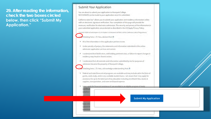29. After reading the information, check the two boxes circled below, then click "Submit My **Application."** 

#### **Submit Your Application**

You are about to submit your application to Moorpark College. NO CHANGES can be made to your application once it is submitted.

California state law\* allows you to submit your application and residency information online with an electronic signature verification. Your completion of this page will provide the necessary verification for electronic submission. The security and privacy of the information in your submitted application are protected as described in the CCCApply Privacy Policy.

\* Section 54300 of subchapter 4.5 of chapter 5 of division 6 of title 5 of the California Code of Regulations.



Checking here, I, TJ Hess, declare that: @

- . All of the information in this application pertains to me.
- . Under penalty of perjury, the statements and information submitted in this online admission application are true and correct.
- . I understand that falsification, withholding pertinent data, or failure to report changes in residency may result in District action.
- . I understand that all materials and information submitted by me for purposes of admission become the property of Moorpark College.
- Checking here, I, TJ Hess, acknowledge understanding that: @
- . Federal and state linancial aid programs are available and may include aid in the form of grants, work study, and/or any available student loans. I am aware that I may apply for assistance for up to the total cost of my education including enrollment fees, books & supplies, transportation, and room and board expense.
- I may apply for financial assistance if I am enrolled in an eligible program of study ٠

**Submit My Application** 

ote: CCC Jbnit t

certificati hether<sup>1</sup>

ww.ica